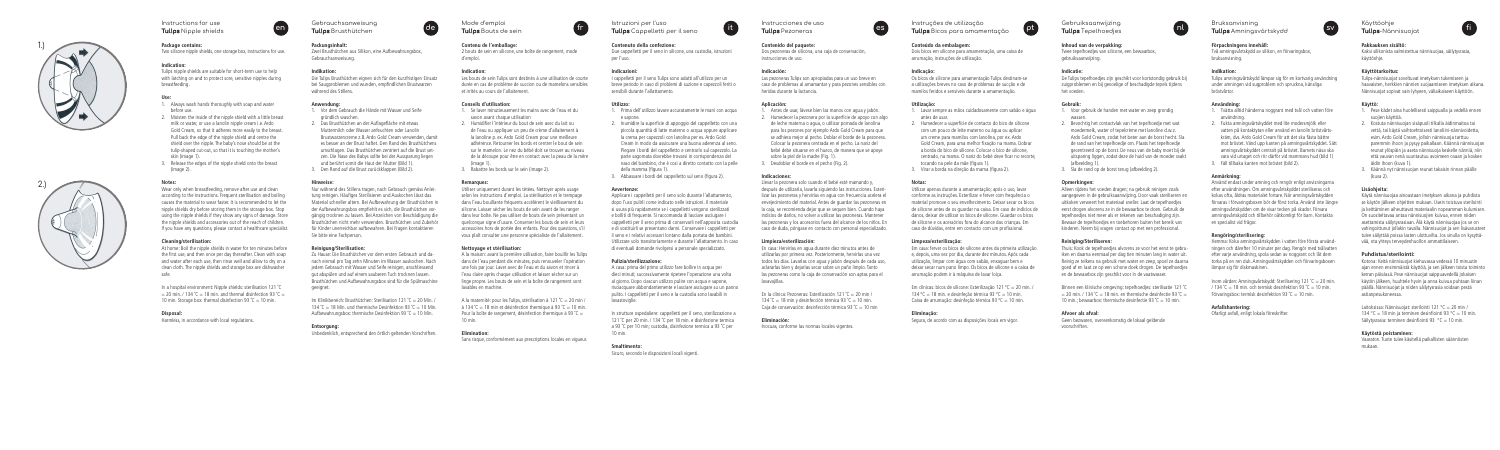

#### **Package contains:**

Two silicone nipple shields, one storage box, instructions for use.

#### **Indication:**

Tulips nipple shields are suitable for short-term use to help with latching on and to protect sore, sensitive nipples during breastfeeding.

#### **Use:**

- 1. Always wash hands thoroughly with soap and water before use.
- 2. Moisten the inside of the nipple shield with a little breast milk or water, or use a lanolin nipple cream i.e. Ardo Gold Cream, so that it adheres more easily to the breast. Pull back the edge of the nipple shield and centre the shield over the nipple. The baby's nose should be at the tulip-shaped cut-out, so that it is touching the mother's skin (image 1).
- 3. Release the edges of the nipple shield onto the breast (image 2).

In a hospital environment: Nipple shields: sterilisation 121 ˚C  $= 20$  min. / 134 °C = 18 min. and thermal disinfection 93 °C = 10 min. Storage box: thermal disinfection 93  $°C = 10$  min.

#### **Notes:**

Wear only when breastfeeding, remove after use and clean according to the instructions. Frequent sterilisation and boiling causes the material to wear faster. It is recommended to let the nipple shields dry before storing them in the storage box. Stop using the nipple shields if they show any signs of damage. Store the nipple shields and accessories out of the reach of children. If you have any questions, please contact a healthcare specialist.

#### **Cleaning/sterilisation:**

At home: Boil the nipple shields in water for ten minutes before the first use, and then once per day thereafter. Clean with soap and water after each use, then rinse well and allow to dry on a clean cloth. The nipple shields and storage box are dishwasher safe.

> Im Klinikbereich: Brusthütchen: Sterilisation 121 ˚C = 20 Min. / 134 °C = 18 Min. und thermische Desinfektion 93 °C = 10 Min. Aufbewahrungsbox: thermische Desinfektion 93  $°C = 10$  Min.

#### **Disposal:**

Harmless, in accordance with local regulations.



Gebrauchsanweisung **Tulips** Brusthütchen

#### **Packungsinhalt:**

Zwei Brusthütchen aus Silikon, eine Aufbewahrungsbox, Gebrauchsanweisung.

#### **Indikation:**

Die Tulips Brusthütchen eignen sich für den kurzfristigen Einsatz bei Saugproblemen und wunden, empfindlichen Brustwarzen während des Stillens.

#### **Anwendung:**

- 1. Vor dem Gebrauch die Hände mit Wasser und Seife gründlich waschen.
- 2. Das Brusthütchen an der Auflagefläche mit etwas Muttermilch oder Wasser anfeuchten oder Lanolin Brustwarzencreme z.B. Ardo Gold Cream verwenden, damit es besser an der Brust haftet. Den Rand des Brusthütchens umschlagen. Das Brusthütchen zentriert auf die Brust set zen. Die Nase des Babys sollte bei der Aussparung liegen und berührt somit die Haut der Mutter (Bild 1).
- 3. Den Rand auf die Brust zurückklappen (Bild 2).

#### **Hinweise:**

Nur während des Stillens tragen, nach Gebrauch gemäss Anlei tung reinigen. Häufiges Sterilisieren und Auskochen lässt das Material schneller altern. Bei Aufbewahrung der Brusthütchen in der Aufbewahrungsbox empfiehlt es sich, die Brusthütchen vor gängig trocknen zu lassen. Bei Anzeichen von Beschädigung die Brusthütchen nicht mehr verwenden. Brusthütchen und Zubehör für Kinder unerreichbar aufbewahren. Bei Fragen kontaktieren Sie bitte eine Fachperson.

#### **Reinigung/Sterilisation:**

Zu Hause: Die Brusthütchen vor dem ersten Gebrauch und da nach einmal pro Tag zehn Minuten im Wasser auskochen. Nach jedem Gebrauch mit Wasser und Seife reinigen, anschliessend gut abspülen und auf einem sauberen Tuch trocknen lassen. Brusthütchen und Aufbewahrungsbox sind für die Spülmaschine geeignet.

#### **Entsorgung:**

A casa: prima del primo utilizzo fare bollire in acqua per dieci minuti; successivamente ripetere l'operazione una volta al giorno. Dopo ciascun utilizzo pulire con acqua e sapone, risciacquare abbondantemente e lasciare asciugare su un panno pulito. I cappelletti per il seno e la custodia sono lavabili in lavastoviglie.

Unbedenklich, entsprechend den örtlich geltenden Vorschriften.



Mode d'emploi **Tulips** Bouts de sein

**Contenu de l'emballage:**

2 bouts de sein en silicone, une boîte de rangement, mode

d'emploi. **Indication:**

Les bouts de sein Tulips sont destinés à une utilisation de courte durée en cas de problème de succion ou de mamelons sensibles

et irrités au cours de l'allaitement. **Conseils d'utilisation:**

1. Se laver minutieusement les mains avec de l'eau et du

savon avant chaque utilisation

2. Humidifier l'intérieur du bout de sein avec du lait ou de l'eau ou appliquer un peu de crème d'allaitement à la lanoline p. ex. Ardo Gold Cream pour une meilleure adhérence. Retourner les bords et centrer le bout de sein sur le mamelon. Le nez du bébé doit se trouver au niveau de la découpe pour être en contact avec la peau de la mère

(image 1).

3. Rabattre les bords sur le sein (image 2).

**Remarques:**

En la clínica: Pezoneras: Esterilización 121 ˚C = 20 min /  $134 \text{ }^{\circ}\text{C} = 18 \text{ min}$  y desinfección térmica 93  $\text{ }^{\circ}\text{C} = 10 \text{ min}$ . Caja de conservación: desinfección térmica 93 °C = 10 min

Utiliser uniquement durant les tétées. Nettoyer après usage selon les instructions d'emploi. La stérilisation et le trempage dans l'eau bouillante fréquents accélèrent le vieillissement du silicone. Laisser sécher les bouts de sein avant de les ranger dans leur boîte. Ne pas utiliser de bouts de sein présentant un quelconque signe d'usure. Conserver les bouts de sein et leurs accessoires hors de portée des enfants. Pour des questions, s'il vous plaît consulter une personne spécialiste de l'allaitement.

**Nettoyage et stérilisation:**

A la maison: avant la première utilisation, faire bouillir les Tulips dans de l'eau pendant dix minutes, puis renouveler l'opération une fois par jour. Laver avec de l'eau et du savon et rincer à l'eau claire après chaque utilisation et laisser sécher sur un linge propre. Les bouts de sein et la boîte de rangement sont

A la maternité: pour les Tulips, stérilisation à 121  $°C = 20$  min / à 134  $°C = 18$  min et désinfection thermique à 93  $°C = 10$  min. Pour la boîte de rangement, désinfection thermique à 93  $°C =$ 

lavables en machine.

10 min. **Elimination:** 

Sans risque, conformément aux prescriptions locales en vigueur.



Em clínicas: bicos de silicone: Esterilização 121 ºC = 20 min. /  $134\text{ °C} = 18 \text{ min}$ . e desinfeção térmica 93  $\text{ °C} = 10 \text{ min}$ . Caixa de arrumação: desinfeção térmica 93 °C = 10 min.

#### Istruzioni per l'uso **Tulips** Cappelletti per il seno

#### **Contenuto della confezione:**

Due cappelletti per il seno in silicone, una custodia, istruzioni per l'uso.

#### **Indicazioni:**

I cappelletti per il seno Tulips sono adatti all'utilizzo per un breve periodo in caso di problemi di suzione e capezzoli feriti o sensibili durante l'allattamento.

#### **Utilizzo:**

- 1. Prima dell'utilizzo lavare accuratamente le mani con acqua e sapone.
- 2. Inumidire la superficie di appoggio del cappelletto con una piccola quantità di latte materno o acqua oppure applicare la crema per capezzoli con lanolina per es. Ardo Gold Cream in modo da assicurare una buona aderenza al seno. Piegare i bordi del cappelletto e centrarlo sul capezzolo. La parte sagomata dovrebbe trovarsi in corrispondenza del naso del bambino, che è così a diretto contatto con la pelle della mamma (figura 1).
- 3. Abbassare i bordi del cappelletto sul seno (figura 2).

Binnen een klinische omgeving: tepelhoedjes: sterilisatie 121 ˚C  $= 20$  min. / 134 °C = 18 min. en thermische desinfectie 93 °C = 10 min.; bewaarbox: thermische desinfectie 93  $°C = 10$  min.

#### **Avvertenze:**

Applicare i cappelletti per il seno solo durante l'allattamento, dopo l'uso pulirli come indicato nelle istruzioni. Il materiale si usura più rapidamente se i cappelletti vengono sterilizzati e bolliti di frequente. Si raccomanda di lasciare asciugare i cappelletti per il seno prima di conservarli nell'apposita custodia e di sostituirli se presentano danni. Conservare i cappelletti per il seno e i relativi accessori lontano dalla portata dei bambini. Utilizzare solo transitoriamente e durante l'allattamento. In caso di eventuali domande rivolgersi a personale specializzato.

#### **Pulizia/sterilizzazione:**

In strutture ospedaliere: cappelletti per il seno, sterilizzazione a 121 °C per 20 min. / 134 °C per 18 min. e disinfezione termica a 93 ˚C per 10 min; custodia, disinfezione termica a 93 ˚C per 10 min.

#### **Smaltimento:**

Sicuro, secondo le disposizioni locali vigenti.

#### Instrucciones de uso **Tulips** Pezoneras

#### **Contenido del paquete:**

Dos pezoneras de silicona, una caja de conservación, instrucciones de uso.

#### **Indicación:**

Las pezoneras Tulips son apropiadas para un uso breve en caso de problemas al amamantar y para pezones sensibles con heridas durante la lactancia.

#### **Aplicación:**

- 1. Antes de usar, lávese bien las manos con agua y jabón.
- 2. Humedecer la pezonera por la superficie de apoyo con algo
- de leche materna o agua, o utilizar pomada de lanolina para los pezones por ejemplo Ardo Gold Cream para que se adhiera mejor al pecho. Doblar el borde de la pezonera. Colocar la pezonera centrada en el pecho. La nariz del bebé debe situarse en el hueco, de manera que se apoye
- sobre la piel de la madre (Fig. 1). 3. Desdoblar el borde en el pecho (Fig. 2).
- 

Laitoksissa: Nännisuojat: sterilointi 121 °C = 20 min / 134 °C = 18 min ja terminen desinfiointi 93 °C = 10 min. Säilytysrasia: terminen desinfiointi 93  $^{\circ}$ C = 10 min.

#### **Indicaciones:**

Llevar la pezonera solo cuando el bebé esté mamando y, después de utilizarla, lavarla siguiendo las instrucciones. Esteri lizar las pezoneras y hervirlas en agua con frecuencia acelera el envejecimiento del material. Antes de guardar las pezoneras en la caja, se recomienda dejar que se sequen bien. Cuando haya indicios de daños, no volver a utilizar las pezoneras. Mantener las pezoneras y los accesorios fuera del alcance de los niños. En caso de duda, póngase en contacto con personal especializado.

#### **Limpieza/esterilización:**

En casa: Hervirlas en agua durante diez minutos antes de utilizarlas por primera vez. Posteriormente, hervirlas una vez todos los días. Lavarlas con agua y jabón después de cada uso, aclararlas bien y dejarlas secar sobre un paño limpio. Tanto las pezoneras como la caja de conservación son aptas para el lavavajillas.

#### **Eliminación:**

Inocuas, conforme las normas locales vigentes.

#### **Conteúdo da embalagem:**

Dois bicos em silicone para amamentação, uma caixa de arrumação, instruções de utilização.

#### **Indicação:**

Os bicos de silicone para amamentação Tulips destinam-se a utilizações breves no caso de problemas de sucção e de mamilos feridos e sensíveis durante a amamentação.

#### **Utilização:**

- 1. Lavar sempre as mãos cuidadosamente com sabão e água antes de usar.
- 2. Humedecer a superfície de contacto do bico de silicone com um pouco de leite materno ou água ou aplicar um creme para mamilos com lanolina, por ex. Ardo Gold Cream, para uma melhor fixação na mama. Dobrar a borda do bico de silicone. Colocar o bico de silicone, centrado, na mama. O nariz do bebé deve ficar no recorte, tocando na pele da mãe (figura 1).
- 3. Virar a borda na direção da mama (figura 2).

#### **Notas:**

Utilizar apenas durante a amamentação; após o uso, lavar conforme as instruções. Esterilizar e ferver com frequência o material promove o seu envelhecimento. Deixar secar os bicos de silicone antes de os guardar na caixa. Em caso de indícios de danos, deixar de utilizar os bicos de silicone. Guardar os bicos de silicone e os acessórios fora do alcance das crianças. Em caso de dúvidas, entre em contacto com um profissional.

#### **Limpeza/esterilização:**

Em casa: ferver os bicos de silicone antes da primeira utilização e, depois, uma vez por dia, durante dez minutos. Após cada utilização, limpar com água com sabão, enxaguar bem e deixar secar num pano limpo. Os bicos de silicone e a caixa de arrumação podem ir à máquina de lavar loiça.

#### **Eliminação:**

Segura, de acordo com as disposições locais em vigor.



# **Inhoud van de verpakking:**

Twee tepelhoedjes van silicone, een bewaarbox,

gebruiksaanwijzing.

#### **Indicatie:**

De Tulips tepelhoedjes zijn geschikt voor kortstondig gebruik bij zuigproblemen en bij gevoelige of beschadigde tepels tijdens het voeden.

### **Gebruik:**

- 1. Voor gebruik de handen met water en zeep grondig wassen
- 2. Bevochtig het contactvlak van het tepelhoedje met wat moedermelk, water of tepelcrème met lanoline d.w.z. Ardo Gold Cream, zodat het beter aan de borst hecht. Sla de rand van het tepelhoedje om. Plaats het tepelhoedje gecentreerd op de borst. De neus van de baby moet bij de uitsparing liggen, zodat deze de huid van de moeder raakt (afbeelding 1).
- 3. Sla de rand op de borst terug (afbeelding 2).

#### **Opmerkingen:**

Alleen tijdens het voeden dragen; na gebruik reinigen zoals aangegeven in de gebruiksaanwijzing. Door vaak steriliseren en uitkoken verweert het materiaal sneller. Laat de tepelhoedjes eerst drogen alvorens ze in de bewaarbox te doen. Gebruik de tepelhoedjes niet meer als er tekenen van beschadiging zijn. Bewaar de tepelhoedjes en toebehoren buiten het bereik van kinderen. Neem bij vragen contact op met een professional.

#### **Reiniging/Steriliseren:**

Thuis: Kook de tepelhoedjes alvorens ze voor het eerst te gebru iken en daarna eenmaal per dag tien minuten lang in water uit. Reinig ze telkens na gebruik met water en zeep, spoel ze daarna goed af en laat ze op een schone doek drogen. De tepelhoedjes en de bewaarbox zijn geschikt voor in de vaatwasser.

#### **Afvoer als afval:**

#### Geen bezwaren, overeenkomstig de lokaal geldende voorschriften.





Bruksanvisning **Tulips** Amningsvårtskydd

**Förpackningens innehåll:**

Två amningsvårtskydd av silikon, en förvaringsbox,

bruksanvisning. **Indikation:**

Tulips amningsvårtskydd lämpar sig för en kortvarig användning under amningen vid sugproblem och spruckna, känsliga

bröstvårtor. **Användning:**

1. Tvätta alltid händerna noggrant med tvål och vatten före

användning.

2. Fukta amningsvårtskyddet med lite modersmjölk eller vatten på kontaktytan eller använd en lanolin bröstvårts kräm, dvs. Ardo Gold Cream för att det ska fästa bättre mot bröstet. Vänd upp kanten på amningsvårtskyddet. Sätt amningsvårtskyddet centralt på bröstet. Barnets näsa ska vara vid urtaget och rör därför vid mammans hud (bild 1)

3. Fäll tillbaka kanten mot bröstet (bild 2).

**Anmärkning:**

Använd endast under amning och rengör enligt anvisningarna efter användningen. Om amningsvårtskyddet steriliseras och kokas ofta, åldras materialet fortare. När amningsvårtskydden förvaras i förvaringsboxen bör de först torka. Använd inte längre amningsvårtskydden om de visar tecken på skador. Förvara amningsvårtskydd och tillbehör oåtkomligt för barn. Kontakta

en specialist vid frågor. **Rengöring/sterilisering:**

Hemma: Koka amningsvårtskydden i vatten före första använd ningen och därefter 10 minuter per dag. Rengör med tvålvatten efter varje användning, spola sedan av noggrant och låt dem torka på en ren duk. Amningsvårtskydden och förvaringsboxen

lämpar sig för diskmaskinen.

Inom vården: Amningsvårtskydd: Sterilisering 121 ˚C = 20 min. / 134  $°C = 18$  min. och termisk desinfektion 93  $°C = 10$  min. Förvaringsbox: termisk desinfektion 93 ˚C = 10 min.

**Avfallshantering:**



Ofarligt avfall, enligt lokala föreskrifter.

#### Käyttöohje **Tulips**-Nännisuojat

#### **Pakkauksen sisältö:**

Kaksi silikonista valmistettua nännisuojaa, säilytysrasia, käyttöohje.

#### **Käyttötarkoitus:**

Tulips-nännisuojat soveltuvat imetyksen tukemiseen ja haavaisten, herkkien nännien suojaamiseen imetyksen aikana. Nännisuojat sopivat vain lyhyeen, väliaikaiseen käyttöön.

#### **Käyttö:**

- 1. Pese kädet aina huolellisesti saippualla ja vedellä ennen suojien käyttöä.
- 2. Kostuta nännisuojan sisäpuoli tilkalla äidinmaitoa tai vettä, tai käytä vaihtoehtoisesti lanoliini-nännivoidetta, esim. Ardo Gold Cream, jolloin nännisuoja tarttuu paremmin ihoon ja pysyy paikallaan. Käännä nännisuojan reunat ylöspäin ja aseta nännisuoja keskelle nänniä, niin että vauvan nenä suuntautuu avoimeen osaan ja koskee äidin ihoon (kuva 1).
- 3. Käännä nyt nännisuojan reunat takaisin rinnan päälle (kuva 2).

#### **Lisäohjeita:**

Käytä nännisuojaa ainoastaan imetyksen aikana ja puhdista se käytön jälkeen ohjeitten mukaan. Usein toistuva sterilointi ja keittäminen aiheuttavat materiaalin nopeamman kulumisen. On suositeltavaa antaa nännisuojien kuivua, ennen niiden asettamista säilytysrasiaan. Älä käytä nännisuojaa jos se on vahingoittunut jollakin tavalla. Nännisuojat ja sen lisävarusteet tulee säilyttää poissa lasten ulottuvilta. Jos sinulla on kysyttä vää, ota yhteys terveydenhuollon ammattilaiseen.

#### **Puhdistus/sterilointi:**

Kotona: Keitä nännisuojat kiehuvassa vedessä 10 minuutin ajan ennen ensimmäistä käyttöä, ja sen jälkeen toista toiminto kerran päivässä. Pese nännisuojat saippuavedellä jokaisen käytön jälkeen, huuhtele hyvin ja anna kuivua puhtaan liinan päällä. Nännisuojat ja niiden säilytysrasia voidaan pestä astianpesukoneessa.

#### **Käytöstä poistaminen:**

Vaaraton. Tuote tulee käsitellä paikallisten säännösten mukaan.





2.)